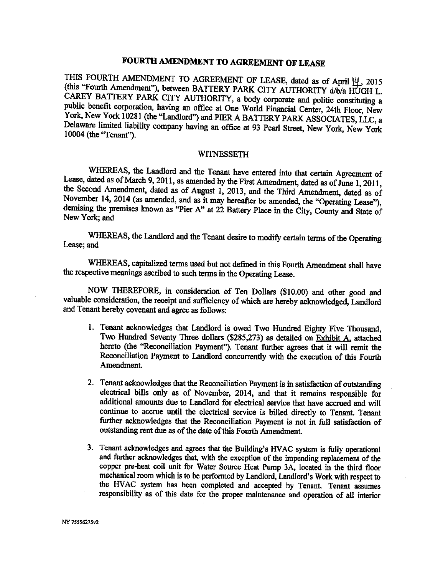## **FOURTH AMENDMENT TO AGREEMENT OF LEASE**

THIS FOURTH AMENDMENT TO AGREEMENT OF LEASE, dated as of April  $\left|\frac{11}{2}\right|$ , 2015 (this "Fourth **Amendment"), between BA'ITERY** PARK **CITY AUTHORITY d/b/a HUGH** L. CAREY BATTERY PARK **CITY AUTHORITY, a** body **corporate and politic** constituting **a public benefit** corporation, **having an office at One World Financial** Center, **24th Floor, New York,** New **York** 10281 **(the** "Landlord") **and PIER A BATTERY PARK ASSOCIATES, LLC, a Delaware limited** liability **company having an** office **at 93** Pearl **Street, New York, New York 10004 (the** "Tenant").

#### WITNESSETH

WHEREAS, **the** Landlord **and** the **Tenant** have entered into **that** certain Agreement of Lease, dated as of March 9, 2011, as amended by the First Amendment, **dated** as of **June** 1, 2011, the **Second** Amendment, dated as of August 1, 2013, **and** the Third Amendment, dated **as** of November 14, 2014 (as amended, and as **it** may hereafter be amended, **the** "Operating Lease''), **demising** the **premises known** as "Pier **A" at 22 Battery** Place **in the City, County** and State of New York; **and**

WHEREAS, the **Landlord** and **the** Tenant desire **to** modify **certainterms** of **the** Operating Lease; and

**WHEREAS, capitalized terms used but not** defined in **this** Fourth **Amendment shall** have the respective meanings **ascribed** to such **terms in** the Operating **Lease.**

NOW **THEREFORE, in consideration** of **Ten** Dollars (\$10.00) and other good and valuable **consideration,** the receipt **and** sufficiency of which **are** hereby **acknowledged,** Landlord and Tenant **hereby** covenant **and agree** as **follows:**

- ) Tenant acknowledges that Landlord **is** owed **Two Hundred** Eighty Five Thousand, Two Hundred **Seventy** Three dollars (\$285,273) **as** detailed on \_ **attached** hereto (the "Reconciliation Payment"). Tenant further **agrees that** it **will remit the** Reconciliation **Payment to** Landlord concurrently with **the execution** of **this Fourth** Amendment.
- . Tenant **acknowledges that** the Reconciliation Paymem is in satisfaction of outstanding electrical bills only as of November, 2014, and that it **remains** responsible for **additional** amounts due **to Landlord** for electrical **service that have accrued and** will **continue to accrue** until **the** electrical **service is billed** directly to Tenant. Tenant further **acknowledges that** the Reconciliation **Payment** is not in full **satisfaction** of outstanding rent due as of **the** date of this **Fourth** Amendment.
- **3. Tenant acknowledges and** agrees **that** the Building's **HVAC** system is **fully operational** and further acknowledges that, **with** the exception **of the impending replacement of the** copper pre-heat **coil** unit **for Water Source Heat Pump 3A, located** in the third **floor** mechanical **room which is** to be performed by Landlord, Landlord's **Work** with respect to the **HVAC system** has **been** completed and accepted **by Tenant. Tenant assumes responsibility** as **of** this date **for** the proper maintenance and **operation of** all interior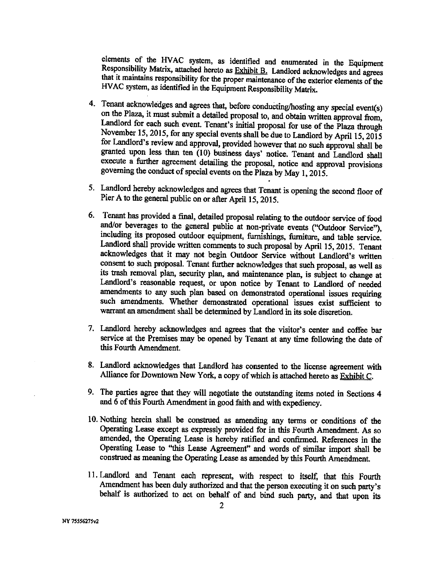elements **of the HVAC system, as identified and enumerated in the Equipment Responsibility Matrix, attached hereto as Exhibit B. Landlord acknowledges and agrees** that **it** maintains **responsibility for** the **proper maintenance oftha exterior** elements **of** the **HVAC system, as identified in the Equipment Responsibility Matrix.**

- **. Tenant** acknowledges **and agrees that, before conducting/hosting** any **special event(s) on the Plaza, it must submit a detailed proposal to, and obtain written approval from, Landlord for each such event. Tenant's initial proposal for use of** the **Plaza** *through* **November 15, 2015, for** any **special events shall** be **due to Landlord by April 15,** *2015* **for Landlord's review** and **approval, provided** however **that no such approval shall be granted upon less than ten (10)** business **days' notice. Tenant** and **Landlord shall execute a** timber **agreement detailing the proposal, notice and approval provisions governing** the **conduct of special events on** the **Plaza by May 1,** *2015.*
- **,** Landlord **hereby acknowledges** and **agrees that Tenant is opening** the **second floor of Pier A to the general public on or after April** 15, **2015.**
- 6. **Tenant** has **provided a final, detailed proposal relating to** the **outdoor** service **of food and/or beverages to** the **general public at non-private** events **("Outdoor Service"), including its proposed outdoor equipment, furnishings, furniture,** and *table* **service. Landlord shall** provide **written comments to** such **proposal by April 15, 2015. Tenant acknowledges that it may not begin** Outdoor **Service without Landlord's written consent to such** proposal. Tenant **further acknowledges that such proposal,** as **well as its trash** removal **plan,** security **plan,** and **maintenance plan, is subject to change at Landlord's reasonable request, or upon notice by Tenant to Landlord of needed amendments** to any **such plan** based **on demonstrated operational issues requiring such amendments. Whether demousu'ated operational** issues exist **sufficient** *to* **warrant an** amendment **shall be determined by Landlord in its sole discretion.**
- 7. **Landlord** hereby **acknowledges** and **agrees that** the visitor's **center and coffee** bar **service at the Premises** may **be opened by Tenant at** any **time following** the **date of this Fourth Amendment.**
- **8. Landlord** acknowledges that **Landlord** has **consented** to the **license agreement** with **Alliance for Downtown New York, a** copy **of which is** attached hereto as **Exhibit C.**
- **9. The parties** agree **that** they will **negotiate** the **outstanding items noted** in **Sections** 4 and 6 **of this Fourth** Amendment **in good faith** and **with expediency.**
- 10. **Nothing** herein **shall be construed** as amending **any terms or conditions of** the **Operating Lease except as expressly provided for** in **this Fourth** Amendment. **As so** amended, the Operating Lease is **hereby** ratified and eonfa'med. **References** in the Operating Lease to "this Lease *Agreement"* and words of **similar** import shall be construed as meaning the Operating Lease as amended by this Fourth Amendment.
- **11.** *Landlord* and **Tenant** each represent, with respect to itself, **that this** Fourth Amendment has been duly authorized and that the person executing it on such party's behalf is authorized to act on behalf of and bind **such** party, and that **upon** its

NY75556275v2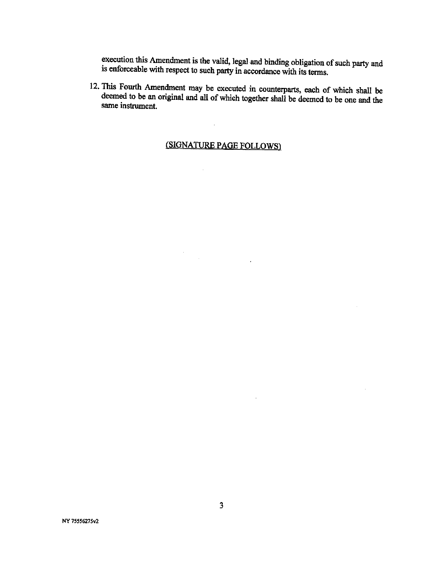**execution this Amendment is the valid, legal and binding obligation of** such **party and is enforceable with respect to such party in accordance with its** terms.

**12.** This Fourth Amendment may **be executed in** counterparts, **each of** which **shall** be deemed **to** be **an** original and **all** of which **together shall** be deemed **to be** one and the **same** instrument.

### *(SIGNATURE* PAGE **FOLLOWS)**

 $\ddot{\phantom{a}}$ 

 $\sim$ 

 $\sim 10^7$ 

 $\label{eq:2} \frac{1}{\sqrt{2}}\sum_{i=1}^n \frac{1}{\sqrt{2}}\sum_{j=1}^n \frac{1}{j!}\sum_{j=1}^n \frac{1}{j!}\sum_{j=1}^n \frac{1}{j!}\sum_{j=1}^n \frac{1}{j!}\sum_{j=1}^n \frac{1}{j!}\sum_{j=1}^n \frac{1}{j!}\sum_{j=1}^n \frac{1}{j!}\sum_{j=1}^n \frac{1}{j!}\sum_{j=1}^n \frac{1}{j!}\sum_{j=1}^n \frac{1}{j!}\sum_{j=1}^n \frac{1}{j!}\sum_{j=1}^$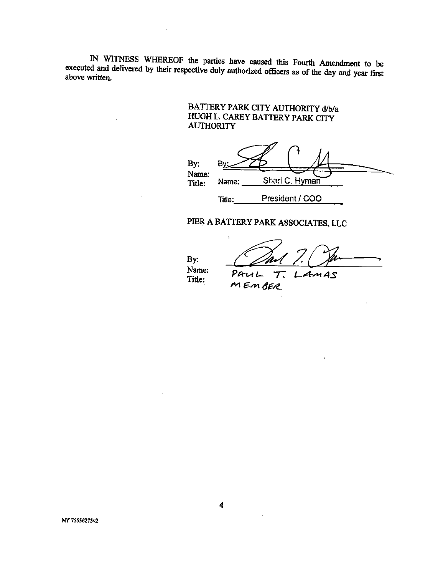**IN** WITNESS **WHEREOF** the **parties have caused this Fourth Amendment to be** executed **and delivered by** their **respective duly** authorized **officers as** of **the day** and **year first above written.**

> BATTERY PARK **CITY** AUTHORITY d/b/a HUGH L. **CAREY** BATTERY PARK **CITY** AUTHORITY

By: By Name: **Title:** Name: Shari C. Hyman Title: President **/** COO

PIER A BATrERY PARK **ASSOCIATES,** LLC

By: Name:

 $PALL$  $\tau$  $LAMAS$ 

Title:

MEMBER

ICY**75556275v2**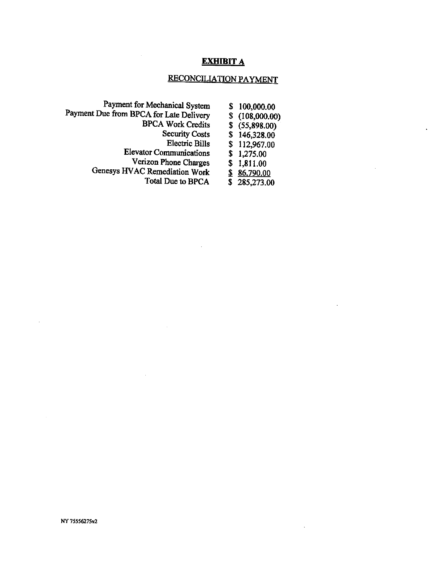## **EXHIBIT A**

# RECONCILIATION PAYMENT

 $\bar{z}$ 

 $\bar{z}$ 

 $\hat{\mathcal{L}}$ 

| Payment for Mechanical System           | \$100,000.00    |
|-----------------------------------------|-----------------|
| Payment Due from BPCA for Late Delivery | \$(108,000.00)  |
| <b>BPCA Work Credits</b>                | \$ (55,898.00)  |
| <b>Security Costs</b>                   | \$146,328.00    |
| <b>Electric Bills</b>                   | \$112,967.00    |
| <b>Elevator Communications</b>          | \$1,275.00      |
| Verizon Phone Charges                   | 1,811.00        |
| Genesys HVAC Remediation Work           | \$<br>86,790.00 |
| Total Due to BPCA                       | 285,273.00      |
|                                         |                 |

 $\ddot{\phantom{a}}$ 

 $\sim$ 

 $\mathcal{A}$ 

 $\bar{\lambda}$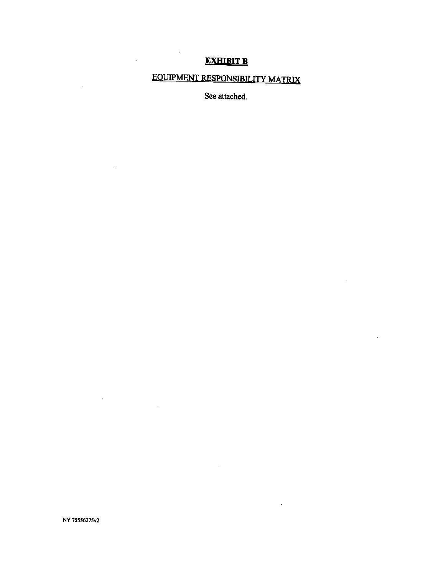# **EXHIBIT B**

# EQUIPMENT RESPONSIBILITY MATRIX

See attached.

 $\mathcal{A}^{\pm}$ 

¥,

÷.

NY 75556275v2

 $\cdot$ 

 $\sim$   $\sim$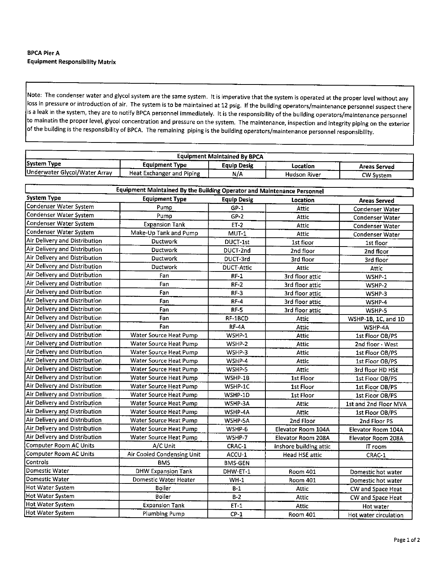### BPCA **Pier A Equipment Responsibility Matrix**

Note: The condenser water and **glycol** system are the same system. It is imperative that the system is operated at the proper level without any loss in pressure or introduction of air. The system is to be maintained at **12** psig. If the building operators/maintenance personnel suspect there  $|$ is a leak in the system, they are to notify BPCA personnel immediately. It is the responsibility of the building operators/maintenance personnel to mainatin the proper **level, glycol** concentration and pressure on the system. The maintenance, **inspection** and **integrity** piping on the exterior of the building is the responsibility of BPCA. The remaining piping is the building operators/maintenance personnel responsibility.

| <b>Equipment Maintained By BPCA</b> |                           |                    |              |              |  |
|-------------------------------------|---------------------------|--------------------|--------------|--------------|--|
| <b>System Type</b>                  | Equipment Type            | <b>Equip Desig</b> | Location     | Areas Served |  |
| Underwater Glycol/Water Array       | Heat Exchanger and Piping | N/A                | Hudson River | CW System    |  |

| Equipment Maintained By the Building Operator and Maintenance Personnel |                               |                    |                        |                        |
|-------------------------------------------------------------------------|-------------------------------|--------------------|------------------------|------------------------|
| <b>System Type</b>                                                      | <b>Equipment Type</b>         | <b>Equip Desig</b> | Location               | <b>Areas Served</b>    |
| Condenser Water System                                                  | Pump                          | $GP-1$             | Attic                  | Condenser Water        |
| Condenser Water System                                                  | Pump                          | GP-2               | Attic                  | Condenser Water        |
| Condenser Water System                                                  | <b>Expansion Tank</b>         | $ET-2$             | Attic                  | <b>Condenser Water</b> |
| Condenser Water System                                                  | Make-Up Tank and Pump         | $MUT-1$            | Attic                  | Condenser Water        |
| Air Delivery and Distribution                                           | <b>Ductwork</b>               | DUCT-1st           | 1st floor              | 1st floor              |
| Air Delivery and Distribution                                           | Ductwork                      | DUCT-2nd           | 2nd floor              | 2nd floor              |
| Air Delivery and Distribution                                           | Ductwork                      | DUCT-3rd           | 3rd floor              | 3rd floor              |
| Air Delivery and Distribution                                           | <b>Ductwork</b>               | <b>DUCT-Attic</b>  | Attic                  | Attic                  |
| Air Delivery and Distribution                                           | Fan                           | $RF-1$             | 3rd floor attic        | WSHP-1                 |
| Air Delivery and Distribution                                           | Fan                           | $RF-2$             | 3rd floor attic        | WSHP-2                 |
| Air Delivery and Distribution                                           | Fan                           | $RF-3$             | 3rd floor attic        | WSHP-3                 |
| Air Delivery and Distribution                                           | Fan                           | $RF-4$             | 3rd floor attic        | WSHP-4                 |
| Air Delivery and Distribution                                           | Fan                           | $RF-5$             | 3rd floor attic        | WSHP-5                 |
| Air Delivery and Distribution                                           | Fan                           | RF-1BCD            | Attic                  | WSHP-1B, 1C, and 1D    |
| Air Delivery and Distribution                                           | Fan                           | RF-4A              | Attic                  | WSHP-4A                |
| Air Delivery and Distribution                                           | Water Source Heat Pump        | WSHP-1             | Attic                  | 1st Floor OB/PS        |
| Air Delivery and Distribution                                           | Water Source Heat Pump        | WSHP-2             | Attic                  | 2nd floor - West       |
| Air Delivery and Distribution                                           | Water Source Heat Pump        | WSHP-3             | Attic                  | <b>1st Floor OB/PS</b> |
| Air Delivery and Distribution                                           | Water Source Heat Pump        | WSHP-4             | Attic                  | 1st Floor OB/PS        |
| Air Delivery and Distribution                                           | Water Source Heat Pump        | WSHP-5             | <b>Attic</b>           | 3rd floor HD HSE       |
| Air Delivery and Distribution                                           | Water Source Heat Pump        | WSHP-1B            | 1st Floor              | 1st Floor OB/PS        |
| Air Delivery and Distribution                                           | Water Source Heat Pump        | WSHP-1C            | 1st Floor              | 1st Floor OB/PS        |
| Air Delivery and Distribution                                           | Water Source Heat Pump        | WSHP-1D            | <b>1st Floor</b>       | 1st Floor OB/PS        |
| Air Delivery and Distribution                                           | <b>Water Source Heat Pump</b> | WSHP-3A            | Attic                  | 1st and 2nd Floor MVA  |
| Air Delivery and Distribution                                           | Water Source Heat Pump        | WSHP-4A            | Attic                  | 1st Floor OB/PS        |
| Air Delivery and Distribution                                           | Water Source Heat Pump        | WSHP-5A            | 2nd Floor              | 2nd Floor PS           |
| Air Delivery and Distribution                                           | Water Source Heat Pump        | WSHP-6             | Elevator Room 104A     | Elevator Room 104A     |
| Air Delivery and Distribution                                           | Water Source Heat Pump        | WSHP-7             | Elevator Room 208A     | Elevator Room 208A     |
| Computer Room AC Units                                                  | A/C Unit                      | CRAC-1             | Inshore building attic | IT room                |
| Computer Room AC Units                                                  | Air Cooled Condensing Unit    | ACCU-1             | <b>Head HSE attic</b>  | CRAC-1                 |
| Controls                                                                | <b>BMS</b>                    | <b>BMS-GEN</b>     |                        |                        |
| Domestic Water                                                          | <b>DHW Expansion Tank</b>     | DHW-ET-1           | Room 401               | Domestic hot water     |
| Domestic Water                                                          | Domestic Water Heater         | $WH-1$             | Room 401               | Domestic hot water     |
| Hot Water System                                                        | <b>Boiler</b>                 | $B-1$              | Attic                  | CW and Space Heat      |
| Hot Water System                                                        | Boiler                        | $B-2$              | Attic                  | CW and Space Heat      |
| Hot Water System                                                        | <b>Expansion Tank</b>         | $ET-1$             | Attic                  | <b>Hot water</b>       |
| Hot Water System                                                        | <b>Plumbing Pump</b>          | $CP-1$             | <b>Room 401</b>        | Hot water circulation  |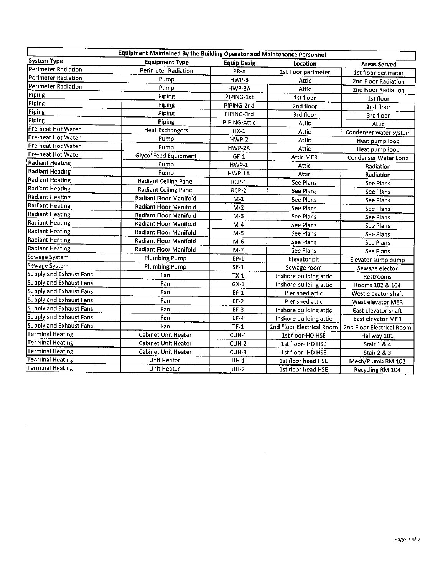| Equipment Maintained By the Building Operator and Maintenance Personnel |                               |                    |                           |                           |
|-------------------------------------------------------------------------|-------------------------------|--------------------|---------------------------|---------------------------|
| <b>System Type</b>                                                      | <b>Equipment Type</b>         | <b>Equip Desig</b> | Location                  | <b>Areas Served</b>       |
| <b>Perimeter Radiation</b>                                              | <b>Perimeter Radiation</b>    | PR-A               | 1st floor perimeter       | 1st floor perimeter       |
| Perimeter Radiation                                                     | Pump                          | HWP-3              | Attic                     | 2nd Floor Radiation       |
| Perimeter Radiation                                                     | Pump                          | HWP-3A             | Attic                     | 2nd Floor Radiation       |
| Piping                                                                  | Piping                        | PIPING-1st         | 1st floor                 | 1st floor                 |
| Piping                                                                  | Piping                        | PIPING-2nd         | 2nd floor                 | 2nd floor                 |
| Piping                                                                  | Piping                        | PIPING-3rd         | 3rd floor                 | 3rd floor                 |
| Piping                                                                  | Piping                        | PIPING-Attic       | Attic                     | <b>Attic</b>              |
| Pre-heat Hot Water                                                      | <b>Heat Exchangers</b>        | $HX-1$             | <b>Attic</b>              | Condenser water system    |
| Pre-heat Hot Water                                                      | Pump                          | $HWP-2$            | Attic                     | Heat pump loop            |
| Pre-heat Hot Water                                                      | Pump                          | HWP-2A             | <b>Attic</b>              | Heat pump loop            |
| Pre-heat Hot Water                                                      | <b>Glycol Feed Equipment</b>  | $GF-1$             | Attic MER                 | Condenser Water Loop      |
| <b>Radiant Heating</b>                                                  | Pump                          | <b>HWP-1</b>       | Attic                     | Radiation                 |
| <b>Radiant Heating</b>                                                  | Pump                          | HWP-1A             | Attic                     | Radiation                 |
| <b>Radiant Heating</b>                                                  | <b>Radiant Ceiling Panel</b>  | RCP-1              | See Plans                 | See Plans                 |
| <b>Radiant Heating</b>                                                  | <b>Radiant Ceiling Panel</b>  | RCP-2              | See Plans                 | See Plans                 |
| <b>Radiant Heating</b>                                                  | <b>Radiant Floor Manifold</b> | $M-1$              | See Plans                 | See Plans                 |
| <b>Radiant Heating</b>                                                  | <b>Radiant Floor Manifold</b> | $M-2$              | See Plans                 | See Plans                 |
| <b>Radiant Heating</b>                                                  | Radiant Floor Manifold        | $M-3$              | See Plans                 | See Plans                 |
| <b>Radiant Heating</b>                                                  | <b>Radiant Floor Manifold</b> | $M-4$              | See Plans                 | See Plans                 |
| <b>Radiant Heating</b>                                                  | <b>Radiant Floor Manifold</b> | $M-5$              | See Plans                 | See Plans                 |
| <b>Radiant Heating</b>                                                  | Radiant Floor Manifold        | $M-6$              | See Plans                 | See Plans                 |
| <b>Radiant Heating</b>                                                  | Radiant Floor Manifold        | $M-7$              | See Plans                 | See Plans                 |
| Sewage System                                                           | Plumbing Pump                 | $EP-1$             | Elevator pit              | Elevator sump pump        |
| Sewage System                                                           | <b>Plumbing Pump</b>          | $SE-1$             | Sewage room               | Sewage ejector            |
| Supply and Exhaust Fans                                                 | Fan                           | $TX-1$             | Inshore building attic    | Restrooms                 |
| Supply and Exhaust Fans                                                 | Fan                           | $GX-1$             | Inshore building attic    | Rooms 102 & 104           |
| <b>Supply and Exhaust Fans</b>                                          | Fan                           | $EF-1$             | Pier shed attic           | West elevator shaft       |
| Supply and Exhaust Fans                                                 | Fan                           | $EF-2$             | Pier shed attic           | West elevator MER         |
| Supply and Exhaust Fans                                                 | Fan                           | $EF-3$             | Inshore building attic    | East elevator shaft       |
| Supply and Exhaust Fans                                                 | Fan                           | $EF-4$             | Inshore building attic    | East elevator MER         |
| <b>Supply and Exhaust Fans</b>                                          | Fan                           | $TF-1$             | 2nd Floor Electrical Room | 2nd Floor Electrical Room |
| <b>Terminal Heating</b>                                                 | <b>Cabinet Unit Heater</b>    | $CUH-1$            | 1st floor-HD HSE          | Hallway 101               |
| <b>Terminal Heating</b>                                                 | <b>Cabinet Unit Heater</b>    | CUH-2              | 1st floor-HD HSE          | Stair 1 & 4               |
| <b>Terminal Heating</b>                                                 | <b>Cabinet Unit Heater</b>    | CUH-3              | 1st floor- HD HSE         | <b>Stair 2 &amp; 3</b>    |
| <b>Terminal Heating</b>                                                 | Unit Heater                   | $UH-1$             | 1st floor head HSE        | Mech/Plumb RM 102         |
| <b>Terminal Heating</b>                                                 | Unit Heater                   | $UH-2$             | 1st floor head HSE        | Recycling RM 104          |

 $\sim 10^6$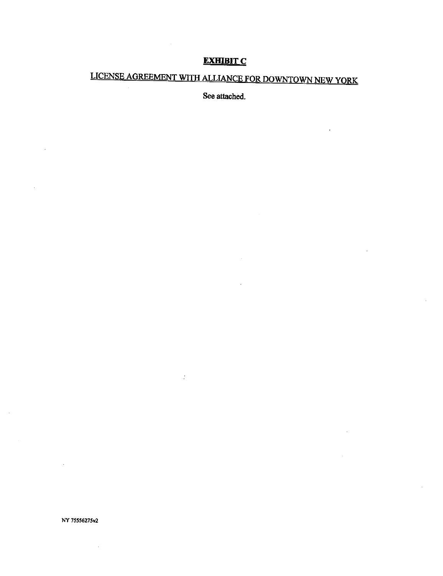## **EXHIBIT C**

# LICENSE AGREEMENT WITH ALLIANCE FOR DOWNTOWN NEW YORK

See attached.

 $\frac{1}{2}$ 

NY 75556275v2

 $\bar{z}$ 

 $\bar{z}$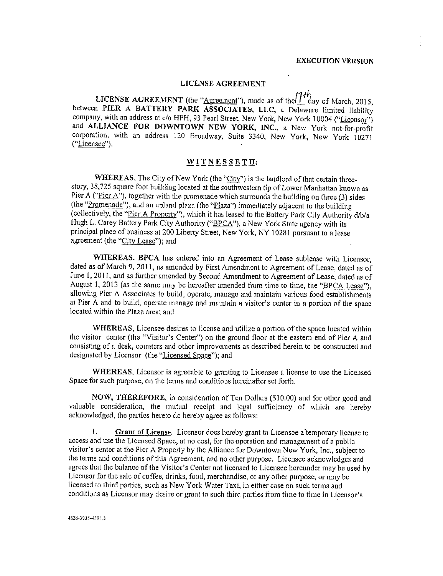### LICENSE **AGREEMENT**

**LICENSE AGREEMENT** (the "Agreement"), made as of the  $/1/h$  day of March, 2015, between PIER A BATTERY PARK ASSOCIATES, LLC, a Delaware limited liability company, with an address at c/o HPH, 93 Pearl Street, New York, New York 10004 ("Licensor") and **ALLIANCE FOR DOWNTOWN NEW YORK, INC.**, a New York not-for-profit corporation, with **an** address 120 Broadway, Suite 3340, New York, New York 10271 ("Licensee").

### WITNESSETH:

WHEREAS, The City of New York (the " $City$ ") is the landlord of that certain threestory, 38,725 square foot building located at the southwestern tip of Lower Manhattan known as Pier A ("Pier  $A$ "), together with the promenade which surrounds the building on three (3) sides (the "Promenade"), and an upland plaza (the "Plaza") immediately adjacent to the building (collectively, the "Pier A Property"), which it has leased to the Battery Park City Authority d/b/a Hugh L. Carey Battery Park City *Authority* ("BPCA"), **a** New *York* State agency with its principal place of business at 200 Liberty Street, New York, NY 10281 pursuant to **a** lease agreement (the "City Lease"); and

WHEREAS, **BPCA** has entered into an **Agreement** of Lease sublease with **Licensor,** dated as of March 9, 2011, as amended by First Amendment to Agreement of Lease, dated as of June 1, 2011, and as further amended by Second Amendment to Agreement of Lease, dated as of August 1, 2013 (as the same may be hereafter amended from time to time, the "BPCA Lease"), allowing Pier *A* Associates to build, operate, manage and maintain various food establishments at Pier *A* and to build, operate manage and maintain a visitor's center in a portion of the space located within the Plaza area; and

**WHEREAS,** Licensee desires to license and utilize a portion of the space located within the visitor center (the "Visitor's Center") en the ground floor at **the** eastern end of Pier A and cousisting of a desk, **counters** and other improvements as described herein to **be** constructed and designated by Licensor (the "Licensed Space"); and

WHEREAS, Licensor is **agreeable** to granting **to** Licensee a license to use the **Licensed** Space for such purpose, **on the** *terms* and conditions hereinafter set forth.

NOW, THEREFORE, in consideration of Ten Dollars (\$10,00) and for other good and *valuable* consideration, the mutual receipt and legal sufficiency of which are hereby acknowledged, the parties hereto do hereby agree as follows:

I. **Grant of** License. Licensor does hereby grant to Licensee atemporary license to access and use the Licensed Space, at no cost, for the operation and management of a public visitor's center at the Pier *A* Property by the Alliance for Downtown New York, Inc., subject to the terms and conditions of this Agreement, and no other purpose. Licensee acknowledges **and** agrees that the balance of the Visitor's Center not licensed to Licensee hereunder may be used by Licensor for the sale of coffee, drinks, food, merchandise, or any other purpose, or may be licensed to third parties, such as New York *Water* Taxi, in either case on such terms and conditions as Licensor may desire or grant to such third parties from time to time in Licensor's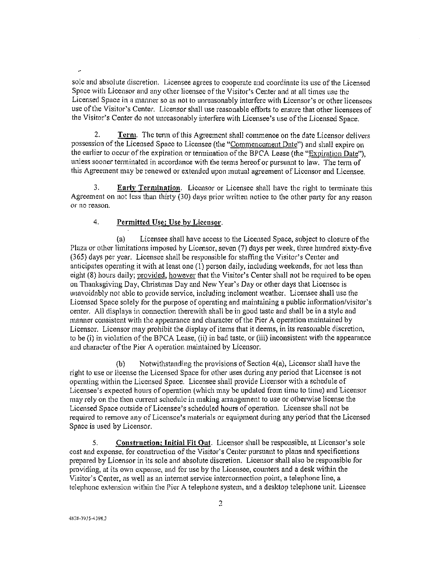sole and absolute discretion. Licensee agrees to cooperate and coordinate its use of the Licensed Space with Licensor and any other licensee of the Visitor's Center and at all times use the Licensed Space in a manner so as not to unreasonably interfere with Licensor's or other licensees use of the Visitor's Center. Licensor shall use reasonable efforts to ensure that other licensees of the Visitor's Center do not unreasonably interfere with Licensee's use of the Licensed Space.

2. **Term.** The tenn of this Agreement shall commence on the date Licensor delivers possession of the Licensed Space to Licensee (the "Commencement Date") and shall expire on the earlier to occur of the expiration or termination of the BPCA Lease (the "Expiration Date"), unless sooner terminated in accordance with the terms hereof or pursuant to law. The term of this *Agreement* may be renewed or extended upon mutual agreement of Licensor and Licensee.

3. Early Termination. Licensor or Licensee shall have the right to terminate this Agreement on not less than thirty (30) days prior written notice to the other party for any reason or no reason.

### 4. Permitted Use: Use by Licensor.

(a) Licensee shall have access to the Licensed Space, subject to closure of the Plaza or other limitations imposed by Licensor, seven (7) days per week, three hundred sixty-five (365) days per year. Licensee shall be responsible for staffing the Visitor's Center and anticipates operating it with at least one  $(1)$  person daily, including weekends, for not less than eight (8) hours daily; provided, however that the Visitor's Center shall not be required to be open on *Thanksgiving* Day, Christmas Day and New Year's *Day* or other days that Licensee is unavoidably not able to provide service, including inclement weather. Licensee shall use the Licensed Space solely for the purpose of operating and maintaining a public information/visitor's center. *All* displays in connection therewith shall be in good taste and shall be in a style and manner consistent with the appearance and character of the Pier A operation maintained by Licensor. Licensor may prohibit the display of items that it deems, in its reasonable discretion, to be (i) in violation of the BPCA Lease, (it) in bad taste, or (iii) inconsistent with *the* appearance and character of the Pier A operation maintained by Licensor.

 $(b)$  Notwithstanding the provisions of Section  $4(a)$ , Licensor shall have the right to use or Iieense the Licensed Space for other uses during any period that Licensee is not operating within the Licensed Space. Licensee shall provide Licensor with a schedule of Licensee's expected hours of operation (which may be updated from time to time) and Licensor may rely on the then cun'ent schedule in making an'angement to use or otherwise license the Licensed Space outside of Licensee's scheduled hours of operation. Licensee shall not be required to remove any of Licensee's materials or equipment during any period that the Licensed Space is used by Licensor.

5. Construction; Initial Fit Out. Licensor shall be responsible, at Licensor's sole cost and expense, for construction of the Visitor's Center pursuant to plans and specifications prepared by Licensor in its sole and absohlte discretion. Licensor shall also be responsible for providing, at its own expense, and tbr use by the Licensee, counters and a desk within the Visitor's Center, as well as an internet service interconnectioo point, a telephone line, a telephone extension wiflfin the Pier *A* telephone system, and a desktop telephone unit. Licensee

J.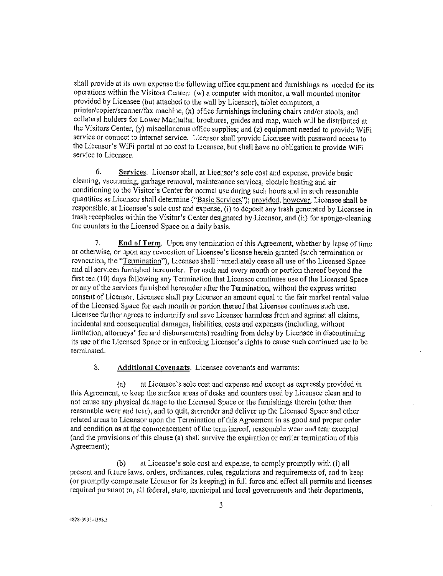shall provide at its own expense the following office equipment and furnishings as needed for its operations within the Visitors Center: (w) a computer with monitor, a wall mounted monitor provided by Licensee (but attached to the wall by Licensor), tablet computers, a printer/copier/scanner/flax machine, (x) office furnishings including chairs and/or stools, and colhtteral holders for *Lower* Manhattan brochures, guides and map, which will be distributed at the Visitors Center, (y) miscellaneous office supplies; and (z) equipment needed to provide WiFi service or connect to internet service. Licensor shall provide Licensee with password access to the Licensor's *WiFi* portal at no cost to Licensee, but shall have no obligation to provide WiFi service to Licensee.

6. Services. Licensor shall, at Licensor's sole cost and expense, provide basic cleaning, vacuuming, garbage removal, maintenance services, electric heating and air conditioning to the Visitor's Center for normal use during such hours and in such reasonable quantities as Licensor shall determine ("Basic Services"); provided, however, Licensee shall be responsible, at Licensee's sole cost and expense, (i) to deposit any trash generated by Licensee in trash receptacles within the Visitor's Center designated by Licensor, and (ii) for sponge-cleaning the counters in the Licensed Space on a daily basis.

7. End of Term. Upon any termination of this Agreement, whether by lapse of time or otherwise, or upon any revocation of Licensee's license herein granted (such termination or revocation, the "Termination"), Licensee shall immediately cease all use of the Licensed Space. and all services furnished hereunder. For each and every month or portion thereof beyond the first ten (10) days following any Termination that Licensee continues use of the Licensed Space or any of the services fla'nished hereunder after the Termination, without the express written consent of Licensor, Licensee shall pay Licensor an amount equal to the fair market rental value of the Licensed Space for each month or portion thereof that Licensee continues such use. Licensee further agrees to indemnify and save Licensor harmless from and against all claims, incidental and consequential damages, liabilities, costs and expenses (including, without limitation, attorneys' fee and disbursements) resulting from delay by Licensee in discontinuing its use of the Licensed Space or in enforcing Licensor's rights to cause such continued use to be terminated.

8. Additional Covenants. Licensee covenants and warrants:

(a) at Liceusee's sole cost and expense and except as expressly provided in this Agreement, to keep the surface areas of desks and counters used by Licensee clean and to not cause any physical damage to the Licensed Space or the furnishings therein (other than reasonable wear and tear), and to quit, surrender and deliver up the Licensed Space and other related areas to Licensor upon the Termination of this Agreement in as good and proper order and condition as at the commencement of the term hereof, reasonable wear and tear excepted (and the provisions of this clause (a) shall survive the expiration or earlier termination of this Agreement);

(b) at Licensee's sole cost and expense, to comply promptly with (i) all present and future laws, orders, ordinances, rules, regulations and requirements of, and to keep (or promptly compensate Licensor for its keeping) in full force and effect all permits and licenses required pursuant to, all federal, state, municipal and local governments and their departments,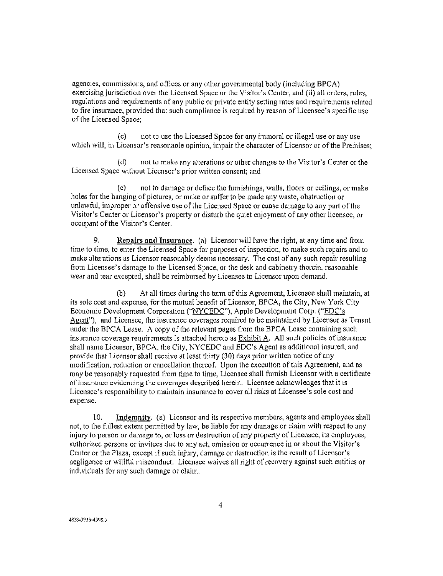agencies, commissions, and offices or any other governmental body (including BPCA) exercising jurisdiction over the Licensed Space or the Visitor's Center, and (ii) all orders, rules, regulations and requirements of any public or private entity setting rates and requirements related to fire insurance; provided that such compliance is required by reason of Licensee's specific use of the Licensed Space;

(c) not to use the Licensed Space for any immoral or illegal use or any use which will, in Licensor's reasonable opinion, impair the character of Licensor or of the Premises;

(d) not to make any alterations or other changes to the Visitor's Center or the Licensed Space without *Licensor's* prior written consent; and

(e) not to damage or deface the furnishings, walls, floors or ceilings, or make holes for the hanging of pictures, or make or suffer to be made any waste, obstruction or unlawful, improper or offensive use of the Licensed Space or cause damage to any part of the Visitor's Center or Licensor's property or disturb the quiet enjoyment of'any other licensee, or occupant of the Visitor's Center.

9. Repairs and **Insurance.** (a) Licensor will have the right, at any time and from time **to** time, to enter the Licensed Space for purposes of inspection, to make such repairs and **to** make alterations as Licensor reasonably deems necessary. The cost of any such repair resulting from Licensee's damage to the Licensed Space, or the desk and cabinetry therein, reasonable wear and tear excepted, shall be reimbursed by Licensee to Licensor upon demand.

(b) At all times during the term of this Agreement, Licensee shall maintain, at its sole cost and expense, for the mutual benefit of Licensor, BPCA, the City, New York City Economic Development Corporation ("NYCEDC"), Apple Development Corp. ("EDC's \_"), and Licensee, the insurance coverages required to be maintained by *Licensor* as Tenant under the BPCA Lease. A copy of the relevant pages from the BPCA Lease containing such insurance coverage requirements is attached hereto as Exhibit A. All such policies of insurance shall name Licensor, BPCA, the City, NYCEDC and EDC's Agent as additional insured, and provide that *Licensor* shall receive at least thirty (30) days prior written notice of any modification, reduction or cancellation thereof. Upon the execution of this Agreernent, and as raay be reasonably requested fi'om **time** to **time,** Licensee shall furnish *Licensor* with a certificate of insurance evidencing the coverages described herein. Licensee acknowledges that it is Licensee's responsibility to maintain insurance to cover all risks at Licensee's sole cost and expense,

10. Indemnity. (a) Licensor and its respective members, agents and employees shall not, to the fullest extent permitted by law, be liable for any damage or claim with respect to any injury to person or damage to, or loss or destruction of any property of Licensee, its employees, authorized persons or invitees due to any act, omission **or** occurrence in **or** about the Visitor's Center or the Plaza, except if such injury, damage or destruction is *the* result of Licensor's negligence or willful misconduct. *Licensee* waives all right of recovery against such entities or individuals for any such damage **or** claim.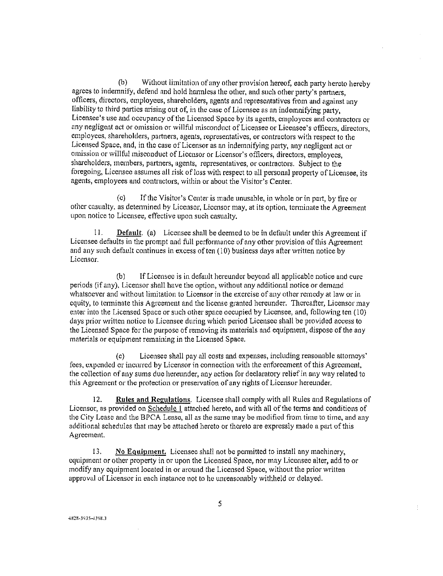$(b)$ Without limitation of any other provision hereof, each party hereto hereby agrees to indemnify, defend and hold harmless the other, and such other party's partners. officers, directors, employees, shareholders, agents and representatives from and against any liability to third parties arising out of, in the case of Licensee as an indemnifying party, Licensee's use and occupancy of the Licensed Space by its agents, employees and contractors or any negligent act or omission or willful misconduct of Licensee or Licensee's officers, directors, employees, shareholders, partners, agents, representatives, or contractors with respect to the Licensed Space, and, in the case of Licensor as an indemnifying party, any negligent act or omission or willful misconduct of Licensor or Licensor's officers, directors, employees, shareholders, members, partners, agents, representatives, or contractors. Subject to the foregoing, Licensee assumes all risk of loss with respect to all personal property of Licensee, its agents, employees and contractors, within or about the Visitor's Center.

If the Visitor's Center is made unusable, in whole or in part, by fire or other casualty, as determined by Licensor, Licensor may, at its option, terminate the Agreement upon notice to Licensee, effective upon such casualty.

 $11.$ **Default.** (a) Licensee shall be deemed to be in default under this Agreement if Licensee defaults in the prompt and full performance of any other provision of this Agreement and any such default continues in excess of ten  $(10)$  business days after written notice by Licensor.

 $(b)$ If Licensee is in default hereunder beyond all applicable notice and cure periods (if any), Licensor shall have the option, without any additional notice or demand whatsoever and without limitation to Licensor in the exercise of any other remedy at law or in equity, to terminate this Agreement and the license granted hereunder. Thereafter, Licensor may enter into the Licensed Space or such other space occupied by Licensee, and, following ten (10) days prior written notice to Licensee during which period Licensee shall be provided access to the Licensed Space for the purpose of removing its materials and equipment, dispose of the any materials or equipment remaining in the Licensed Space.

 $(c)$ Licensee shall pay all costs and expenses, including reasonable attorneys' fees, expended or incurred by Licensor in connection with the enforcement of this Agreement. the collection of any sums due hereunder, any action for declaratory relief in any way related to this Agreement or the protection or preservation of any rights of Licensor hereunder.

Rules and Regulations. Licensee shall comply with all Rules and Regulations of  $12.$ Licensor, as provided on Schedule 1 attached hereto, and with all of the terms and conditions of the City Lease and the BPCA Lease, all as the same may be modified from time to time, and any additional schedules that may be attached hereto or thereto are expressly made a part of this Agreement.

No Equipment. Licensee shall not be permitted to install any machinery,  $13.$ equipment or other property in or upon the Licensed Space, nor may Licensee alter, add to or modify any equipment located in or around the Licensed Space, without the prior written approval of Licensor in each instance not to he unreasonably withheld or delayed.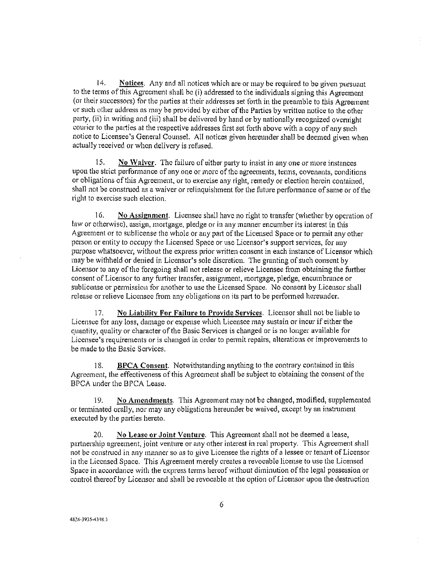14. Notices. Any and all notices which are or may be required to be given pursuant to the terms of this Agreement shall be (i) addressed to the individuals signing this Agreement (or their successors) for the parties at their addresses set forth in the preamble to this Agreement or such other address as may be provided by either of the Parties by written notice to the other party, (ii) in writing and (iii) shall be delivered by hand or by nationally recognized overnight courier to the parties at the respective addresses first set forth above with a copy of any such notice to Licensee's General Counsel. All notices given hereunder shall be deemed given when actually received or when delivery is refused.

15. No **Waiver.** The failure **of** either party to insist in any **one** or more **instances** upon the strict perfomrance **of** any **one or** marc **of** the agreements, terms, covenants, conditions **or** obligations of this Agreement, m to exercise any right, remedy or election herein **contained,** shall not be construed as a waiver or relinquishment for the future performance of same or of the right to exercise such election.

16. No Assignment. Licensee shall have no right to transfer (whether by operation of law or otherwise), assign, mortgage, pledge or in any manner encumber its interest in this Agreement or to sublicense the whole or any part of the Licensed Space or to permit any other person or entity to occupy the Licensed Space or use Licensor's support services, for any purpose whatsoever, without the express prior written consent in each instance of Licensor which may be withheld or denied in Licensor's sole discretion. The granting of such consent by Licensor to any of the foregoing shall not release or relieve Licensee from obtaining the further consent of Licensor to any further *transfer,* assignment, mortgage, pledge, encumbrance or sublicense or permission for another to use the Licensed Space. No consent by Licensor shall release or relieve Licensee from any obligations on its part to be performed hereunder.

17. No Liability Fro' Failure **to** Provide Services. Licensor shall not be liable to Licensee for any loss, damage or expense which Licensee may sustain or incur if either the quantity, quality or character **of** the Basic Services is changed or is no longer avaiI\_ible for Licensee's requirements or is changed in order to pemrit repairs, alterations or improvements to be made to the Basic Services.

18. **BPCA Consent,** Notwithstanding anything to the contrary contained in this Agreement, the effectiveness **of** this Agreement shall be subject to **obtaining** the consent of the BPCA under the BPCA Lease.

19. No Amendments. This Agreement may not be changed, modified, supplemented or *tenninated* orally, nor may any obligations hereunder be waived, except by an instrument executed by the parties hereto.

20. No Lease or Joint Venture. This Agreement shall not be deemed a lease, partnership agreement, joint venture or any other interest in real property. This *Agq'eement* shall not be construed in any manner so as to give Licensee the rights of a lessee or tenant of Licensor in the Licensed Space. This Agreement merely creates a revocable license to use the Licensed Space in accordance with the express terms hereof without diminution of the legal possession or control thereof by Licensor and shall be revocable at the option of Licensor upon the destruction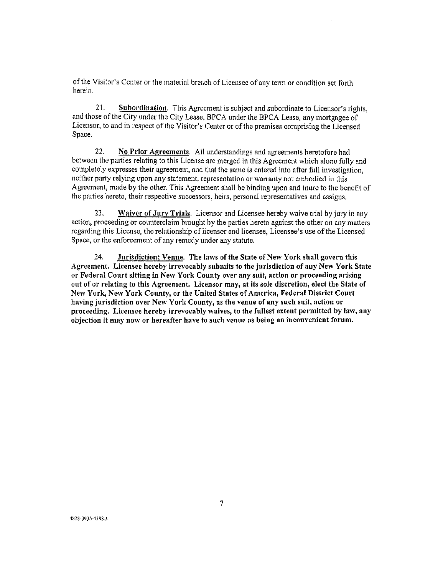of the Visitor's Center or the material breach of Licensee of any term or condition set forth herein.

21. Subordination. This Agreement is subject and subordinate to Licensor's rights, and those of the City under the City Lease, **BPCA** under the BPCA Lease, any mortgagee of Licensor, to and in respect of the Visitor's Center or of the premises comprising the Licensed Space.

22. No Prior Agreements. All understandings and agreements heretofore had between the parties relating to this License are merged in this *Agreement* which alone fully and completely expresses their agreement, and that **the** same is entered into after full investigation, neither party relying upon any statement, representation or warranty not embodied in this Agreement, made by the other. This Agreement shall be binding upon and inure to the benefit of the parties hereto, their respective successors, heirs, personal representatives and assigns.

23, Waiver of **Jury** Trials. Licensor and Licensee hereby waive trial by jury in any action, proceeding or counterclaim brought by the parties hereto against the other on any matters regarding *this* License, the relationship **of** licensor and licensee, Licensee's use of the Licensed Space, **or** the enforcement of any remedy under any statute.

24. **Jnrisdietion\_ Venue.** The laws **of the State of** New York **shall govern** this **Agreement. Licensee** hereby **irrevocably submits to** the jnrisdiction **of** any New York **State or** Federal Court **sitting in** New **York County over any suit, action or proceeding** arising **out** of or **relating to this Agreement. Licensor** may, **at its sole dlseretlon, elect the State of New** York, **New York Count3,, or the United States** of **America,** Federal **District Court** having **jurisdiction** over **New York County, as the venue of any such suit, action or proceeding. Licensee** hereby **irrevocably** waives, **to the fullest extent permitted by law, any objection** it **nmy now or** hereafter have **to such venue as being an inconvenient** thrum.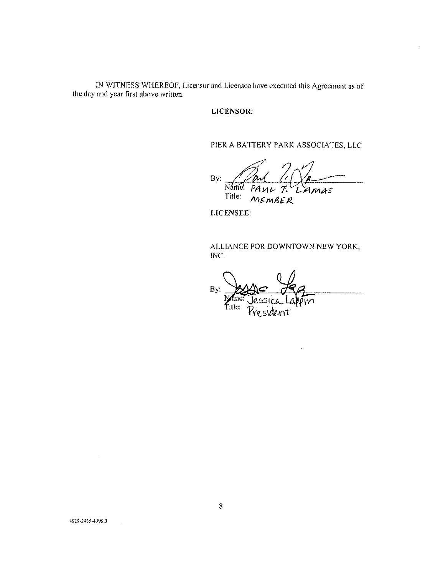IN WITNESS WHEREOF, Licensor and Licensee have executed this Agreement as of the day and year first above written.

LICENSOR:

PIER A BATTERY PARK ASSOCIATES, LLC

By: Nanie: PAU LAMAS Т. Title:

MEMBER

LICENSEE:

ALLIANCE FOR DOWNTOWN NEW YORK, INC.

By:  $\gamma$ 

4828-3935-4398.3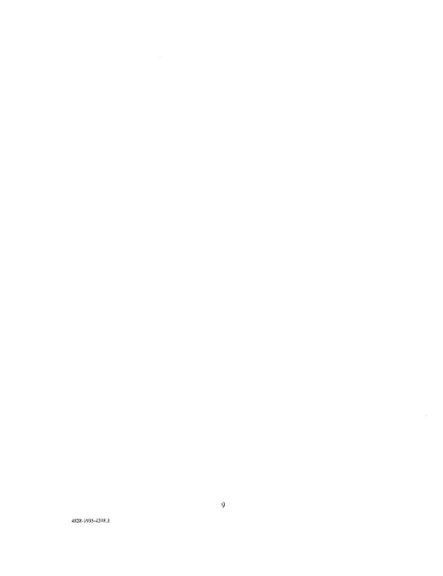4828-3935-4398.3

 $\sim$ 

 $\mathcal{L}(\mathcal{A})$  and  $\mathcal{L}(\mathcal{A})$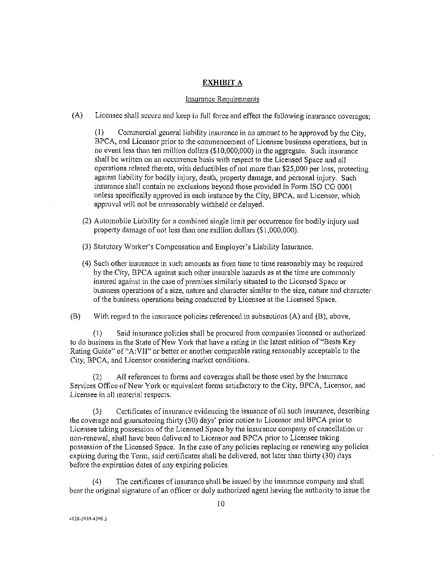### **EXHIBIT A**

### Insurance Requirements

 $(A)$  Licensee shall secure and keep in full force and effect the following insurance coverages;

(I) Commercial general liability insurance **in** an amount to be approved by the City, BPCA, and *Licensor* prior to the commencement of Licensee business operations, but in no event less than ten million dollars (\$10,000,000) in the aggregate. Such insurance shall be written on an occurrence basis with respect to the Licensed Space and all operations related thereto, with deductibles of not mere fllan \$25,000 per loss, protecting against liability for bodily injury, death, property damage, and personal injury. Such insurance shall contain no exclusions beyond those provided in Form ISO CG 000l unless specifically approved in each instance by the City, BPCA, and Licensor, which approval will not be unreasouably withheld or delayed.

- (2) Automobile Liability for a combined single limit per occurrence for bodily injury and property damage of not less than one million dollars (\$1,000,000).
- (3) Statutory Worker's Compensation and **Employer's** Liability Insurm\_ce.
- (4) Such other insurance in such amounts as from time to time reasonably may be required by the City, BPCA against such other insurable hazards as at the time are commonly insured against in the case of premises similariy situated to the Licensed Space or business operations of a size, nature and character similar to the size, nature and character of the business operations being conducted by Licensee at the Licensed Space.
- (B) With regard to the insurance policies referenced in subsections (A) and (B), above,

(I) Said insurance policies shall be procured from companies licensed **or** authorized to do business in the State of New York that have a rating in the latest edition of"Bests Key Rating Guide" of"A:Vll" or better or another comparable rating reasonably acceptable to the City, BPCA, and Licensor considering maxket conditions.

(2) All references to fonns and coverages shall be those used by the Insurance Services Office of New York or equivalent forms satisfactory to the City, BPCA, Licensor, and Licensee in all material respects.

(3) Certificates of insurance evidencing the issuance of all such insurance, describing the coverage and guaranteeing thirty (30) days' prior notice to Licensor and BPCA prior to Licensee taking possession of the Licensed Space by the insurance company of cancellation or non-renewal, shall here been delivered to Licensor and BPCA prior to Licensee taking possession of the Licensed Space. In the case of any policies replacing or renewing any policies expiring during the Term, said certificates shall be delivered, not later than thirty (30) days before the expiration dates of any expiring policies.

**(4)** The certificates of insurance shall be issued by the **insurance** company and shall bear the original signature of an **officer** er duly authorized agent lmving the authority to issue the

4828-3935-4308 3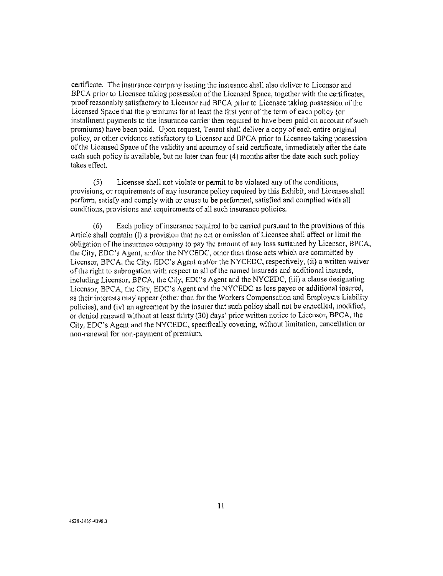certificate. The insurance company issuing the insurance shall also deliver to Licensor and BPCA prior to Licensee taking possession of the Licensed Space, together with the certificates, proof reasonably satisfactory to Licensor and BPCA prior to Licensee taking possession of the Licensed Space that the premiums for at least the first year of the term of each policy (or installment payments to the insurance carrier then required to have been paid on account of such premiums) have been paid. Upon request, Tenant shall deliver a copy of each entire original policy, or other evidence satisfactory to Licensor and BPCA prior to Licensee taking possession of the Licensed Space of **the** validity and accuracy of said certificate, immediately after the date each **such** policy is available, but no later than four (4) months after the date each such policy takes effect.

(5) Licensee shall not violate or permit to be violated any of the conditions, provisions, or requirements of any insurance policy required by this Exhibit, and Licensee shall perform, satisfy and comply with or cause to be performed, satisfied and complied with all conditions, provisions and requirements of all such insurance policies.

**(6)** Each policy of insurance required to be can'ied pursuant to the provisions **of** this Article shall contain (i) a provision that no act or omission of Licensee shall affect or limit the obligation of the insurance company to pay the amount of any loss sustained by Licensor, BPCA, the City, EDC's Agent, and/or the NYCEDC, other fl\_an those acts which are committed by Licensor, BPCA, the City, EDC's Agent and/or the NYCEDC, respectively, (ii) a written waiver of the right to subrogation with respect to all of the nmned insureds and additional insureds, including Licensor, BPCA, the City, EDC's Agent and the NYCEDC, (iii) a clause designating Licensor, BPCA, the City, EDC's Agent and the NYCEDC as loss payee or additional insured, as their interests may appear (other than for the Workers Compensation and Employers Liability policies), and  $(iv)$  an agreement by the insurer that such policy shall not be cancelled, modified, or denied renewal without at least thirty (30) days' prior written notice to Licensor, BPCA, the City, EDC's Agent mad the NYCEDC, specifically covering, without limitation, cancellation or non-renewal tbr non-payment of premium.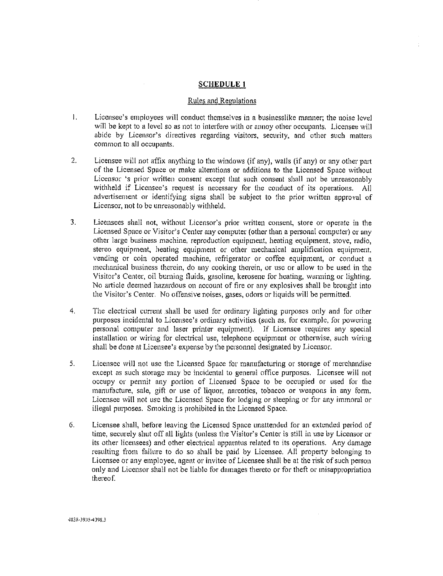### **SCHEDULE1**

### Rules and Regulations

- $\mathbf{1}$ . **Licensee's** employees will conduct themselves in a businesslike manner; the noise level will be kept to a level so as not **to** interfere with or annoy other occupants. Liconsee will abide by Licensor's directives regarding visitors, security, and other such matters common to all occupants.
- 2, Licensee will not affix anything to the windows (if any), walls (if any) or any other part of the Licensed Space or make alterations or additions to the Licensed Space without Licensor's prior written consent except that such consent shall not be unreasonably withheld if Licensee's request is necessary for the conduct of its operations. All advertisement or identifying signs shall be subject to the prior written approval of Licensor, not to be unreasonably withheld.
- 3. Licensees shall not, without **Licensor's** prior written consent, store **or operate** in the Licensed Space **or** Visitor's Center any computer (other than a personal computer) **or** any other large business machine, reproduction equipment, heating equipment, stove, radio, stereo equipment, heating equipment **or** other mechanical amplification equipment. vending **or** coin operated machine, refi'igerator or coffee equipment, or conduct a mechmaical business therein, do any cooking therein, **or** use or allow to be used in the Visitor's Center, oil burning fluids, gasoline, kerosene for heating, wanning or lighting. Nc article deemed hazardous on aeconnt of fire **or** any explosives shall be brought into the Visitor's Center. No offensive noises, gases, **odors** or liquids will be permitted.
- *4,* The electrical current shall be used for ordinary lighting purposes only and for other purposes incidental to Licensee's ordinary activities (such as, for example, for powering **personal computer and** laser printer equipment). If *Licensee* requires any special installation or wiring for electrical use, telephone equipment or otherwise, such wiring shall be done at Licensee's expense by the personnel designated by Licensor.
- 5. Licensee will not use the Licensed Space for manufacturing or storage of merchandise except as such storage may be incidental to general office purposes. Licensee will not occupy or permit any portion **of Licensed** Space to be occupied **or** used lbr the manufacture, sale, gift or use of liquor, narcotics, tobacco or weapons in any fonn. Licensee will not use the Licensed Space for lodging or sleeping or for any immoral or illegal purposes. Smoking is prohibited in the Licensed Space.
- $6<sub>1</sub>$ Licensee shall, before leaving the Licensed Space unattended for an extended period of time, securely shut off all lights (unless the Visitor's Center is still in use by Lieeusor or its other licensees) and other electrical apparatus related te its operations. Any damage resulting fi'om failure to do so shall be paid by Licensee. *All* property belonging to Licensee or any employee, agent or invitee of Licensee shall be at the risk of such person only and Licensor shall not be liable for damages thereto or for theft or misappropriation thereof.